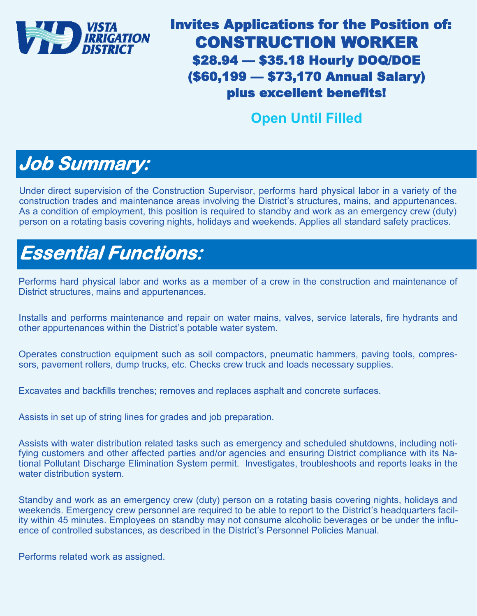

#### Invites Applications for the Position of: CONSTRUCTION WORKER \$28.94 — \$35.18 Hourly DOQ/DOE (\$60,199 — \$73,170 Annual Salary) plus excellent benefits!

#### **Open Until Filled**

### **Job Summary:**

Under direct supervision of the Construction Supervisor, performs hard physical labor in a variety of the construction trades and maintenance areas involving the District's structures, mains, and appurtenances. As a condition of employment, this position is required to standby and work as an emergency crew (duty) person on a rotating basis covering nights, holidays and weekends. Applies all standard safety practices.

## **Essential Functions:**

Performs hard physical labor and works as a member of a crew in the construction and maintenance of District structures, mains and appurtenances.

Installs and performs maintenance and repair on water mains, valves, service laterals, fire hydrants and other appurtenances within the District's potable water system.

Operates construction equipment such as soil compactors, pneumatic hammers, paving tools, compressors, pavement rollers, dump trucks, etc. Checks crew truck and loads necessary supplies.

Excavates and backfills trenches; removes and replaces asphalt and concrete surfaces.

Assists in set up of string lines for grades and job preparation.

Assists with water distribution related tasks such as emergency and scheduled shutdowns, including notifying customers and other affected parties and/or agencies and ensuring District compliance with its National Pollutant Discharge Elimination System permit. Investigates, troubleshoots and reports leaks in the water distribution system.

Standby and work as an emergency crew (duty) person on a rotating basis covering nights, holidays and weekends. Emergency crew personnel are required to be able to report to the District's headquarters facility within 45 minutes. Employees on standby may not consume alcoholic beverages or be under the influence of controlled substances, as described in the District's Personnel Policies Manual.

Performs related work as assigned.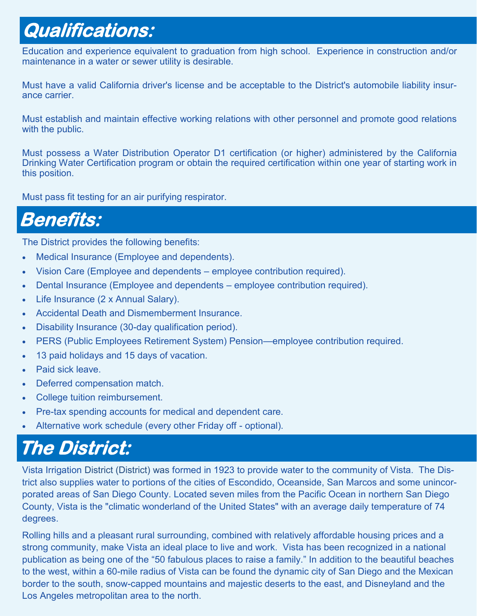### **Qualifications:**

Education and experience equivalent to graduation from high school. Experience in construction and/or maintenance in a water or sewer utility is desirable.

Must have a valid California driver's license and be acceptable to the District's automobile liability insurance carrier.

Must establish and maintain effective working relations with other personnel and promote good relations with the public.

Must possess a Water Distribution Operator D1 certification (or higher) administered by the California Drinking Water Certification program or obtain the required certification within one year of starting work in this position.

Must pass fit testing for an air purifying respirator.

#### **Benefits:**

The District provides the following benefits:

- Medical Insurance (Employee and dependents).
- Vision Care (Employee and dependents employee contribution required).
- Dental Insurance (Employee and dependents employee contribution required).
- Life Insurance (2 x Annual Salary).
- Accidental Death and Dismemberment Insurance.
- Disability Insurance (30-day qualification period).
- PERS (Public Employees Retirement System) Pension—employee contribution required.
- 13 paid holidays and 15 days of vacation.
- Paid sick leave.
- Deferred compensation match.
- College tuition reimbursement.
- Pre-tax spending accounts for medical and dependent care.
- Alternative work schedule (every other Friday off optional).

#### **The District:**

Vista Irrigation District (District) was formed in 1923 to provide water to the community of Vista. The District also supplies water to portions of the cities of Escondido, Oceanside, San Marcos and some unincorporated areas of San Diego County. Located seven miles from the Pacific Ocean in northern San Diego County, Vista is the "climatic wonderland of the United States" with an average daily temperature of 74 degrees.

Rolling hills and a pleasant rural surrounding, combined with relatively affordable housing prices and a strong community, make Vista an ideal place to live and work. Vista has been recognized in a national publication as being one of the "50 fabulous places to raise a family." In addition to the beautiful beaches to the west, within a 60-mile radius of Vista can be found the dynamic city of San Diego and the Mexican border to the south, snow-capped mountains and majestic deserts to the east, and Disneyland and the Los Angeles metropolitan area to the north.